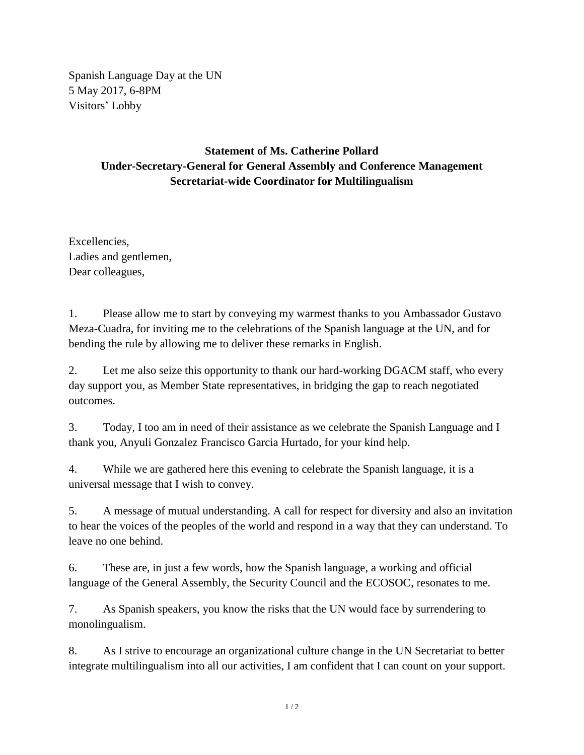Spanish Language Day at the UN 5 May 2017, 6-8PM Visitors' Lobby

## **Statement of Ms. Catherine Pollard Under-Secretary-General for General Assembly and Conference Management Secretariat-wide Coordinator for Multilingualism**

Excellencies, Ladies and gentlemen, Dear colleagues,

1. Please allow me to start by conveying my warmest thanks to you Ambassador Gustavo Meza-Cuadra, for inviting me to the celebrations of the Spanish language at the UN, and for bending the rule by allowing me to deliver these remarks in English.

2. Let me also seize this opportunity to thank our hard-working DGACM staff, who every day support you, as Member State representatives, in bridging the gap to reach negotiated outcomes.

3. Today, I too am in need of their assistance as we celebrate the Spanish Language and I thank you, Anyuli Gonzalez Francisco Garcia Hurtado, for your kind help.

4. While we are gathered here this evening to celebrate the Spanish language, it is a universal message that I wish to convey.

5. A message of mutual understanding. A call for respect for diversity and also an invitation to hear the voices of the peoples of the world and respond in a way that they can understand. To leave no one behind.

6. These are, in just a few words, how the Spanish language, a working and official language of the General Assembly, the Security Council and the ECOSOC, resonates to me.

7. As Spanish speakers, you know the risks that the UN would face by surrendering to monolingualism.

8. As I strive to encourage an organizational culture change in the UN Secretariat to better integrate multilingualism into all our activities, I am confident that I can count on your support.